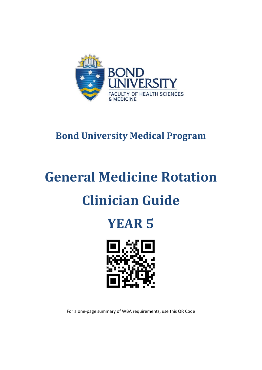

# **Bond University Medical Program**

# **General Medicine Rotation Clinician Guide**





For a one-page summary of WBA requirements, use this QR Code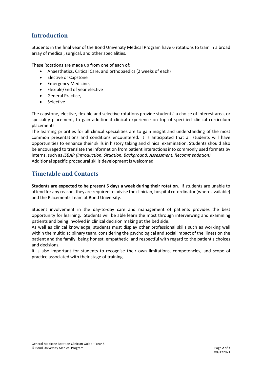## **Introduction**

Students in the final year of the Bond University Medical Program have 6 rotations to train in a broad array of medical, surgical, and other specialities.

These Rotations are made up from one of each of:

- Anaesthetics, Critical Care, and orthopaedics (2 weeks of each)
- Elective or Capstone
- Emergency Medicine,
- Flexible/End of year elective
- General Practice,
- Selective

The capstone, elective, flexible and selective rotations provide students' a choice of interest area, or speciality placement, to gain additional clinical experience on top of specified clinical curriculum placements.

The learning priorities for all clinical specialities are to gain insight and understanding of the most common presentations and conditions encountered. It is anticipated that all students will have opportunities to enhance their skills in history taking and clinical examination. Students should also be encouraged to translate the information from patient interactions into commonly used formats by interns, such as *ISBAR (Introduction, Situation, Background, Assessment, Recommendation)* Additional specific procedural skills development is welcomed

#### **Timetable and Contacts**

**Students are expected to be present 5 days a week during their rotation**. If students are unable to attend for any reason, they are required to advise the clinician, hospital co-ordinator (where available) and the Placements Team at Bond University.

Student involvement in the day-to-day care and management of patients provides the best opportunity for learning. Students will be able learn the most through interviewing and examining patients and being involved in clinical decision making at the bed side.

As well as clinical knowledge, students must display other professional skills such as working well within the multidisciplinary team, considering the psychological and social impact of the illness on the patient and the family, being honest, empathetic, and respectful with regard to the patient's choices and decisions.

It is also important for students to recognise their own limitations, competencies, and scope of practice associated with their stage of training.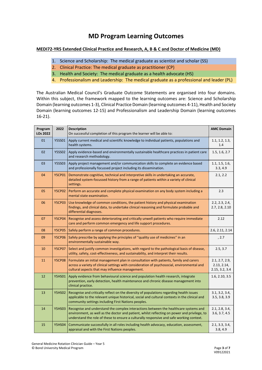# **MD Program Learning Outcomes**

#### **MEDI72-YR5 Extended Clinical Practice and Research, A, B & C and Doctor of Medicine (MD)**

- 1. Science and Scholarship: The medical graduate as scientist and scholar (SS)
- 2. Clinical Practice: The medical graduate as practitioner (CP)
- 3. Health and Society: The medical graduate as a health advocate (HS)
- 4. Professionalism and Leadership: The medical graduate as a professional and leader (PL)

The Australian Medical Council's Graduate Outcome Statements are organised into four domains. Within this subject, the framework mapped to the learning outcomes are: Science and Scholarship Domain (learning outcomes 1-3), Clinical Practice Domain (learning outcomes 4-11), Health and Society Domain (learning outcomes 12-15) and Professionalism and Leadership Domain (learning outcomes 16-21).

| Program<br>LOs 2022 | 2022          | <b>Description</b><br>On successful completion of this program the learner will be able to:                                                                                                                                                                                      | <b>AMC Domain</b>                               |
|---------------------|---------------|----------------------------------------------------------------------------------------------------------------------------------------------------------------------------------------------------------------------------------------------------------------------------------|-------------------------------------------------|
| 01                  | <b>Y5SS01</b> | Apply current medical and scientific knowledge to individual patients, populations and<br>health systems.                                                                                                                                                                        | 1.1, 1.2, 1.3,<br>1.4                           |
| 02                  | <b>Y5SS02</b> | Apply evidence-based and environmentally sustainable healthcare practices in patient care<br>and research methodology.                                                                                                                                                           | 1.5, 1.6, 2.7                                   |
| 03                  | <b>Y5SS03</b> | Apply project management and/or communication skills to complete an evidence based<br>and professionally focussed project including its dissemination.                                                                                                                           | 1.1, 1.5, 1.6,<br>3.3, 4.9                      |
| 04                  | <b>Y5CP01</b> | Demonstrate cognitive, technical and interpretive skills in undertaking an accurate,<br>detailed system-focussed history from a range of patients within a variety of clinical<br>settings.                                                                                      | 2.1, 2.2                                        |
| 05                  | <b>Y5CP02</b> | Perform an accurate and complete physical examination on any body system including a<br>mental state examination.                                                                                                                                                                | 2.3                                             |
| 06                  | <b>Y5CP03</b> | Use knowledge of common conditions, the patient history and physical examination<br>findings, and clinical data, to undertake clinical reasoning and formulate probable and<br>differential diagnoses.                                                                           | 2.2, 2.3, 2.4,<br>2.7, 2.8, 2.10                |
| 07                  | <b>Y5CP04</b> | Recognise and assess deteriorating and critically unwell patients who require immediate<br>care and perform common emergency and life support procedures.                                                                                                                        | 2.12                                            |
| 08                  | <b>Y5CP05</b> | Safely perform a range of common procedures.                                                                                                                                                                                                                                     | 2.6, 2.11, 2.14                                 |
| 09                  | <b>Y5CP06</b> | Safely prescribe by applying the principles of "quality use of medicines" in an<br>environmentally sustainable way.                                                                                                                                                              | , 2.7                                           |
| 10                  | <b>Y5CP07</b> | Select and justify common investigations, with regard to the pathological basis of disease,<br>utility, safety, cost-effectiveness, and sustainability, and interpret their results.                                                                                             | 2.5, 3.7                                        |
| 11                  | <b>Y5CP08</b> | Formulate an initial management plan in consultation with patients, family and carers<br>across a variety of clinical settings with consideration of psychosocial, environmental and<br>cultural aspects that may influence management.                                          | 2.1, 2.7, 2.9,<br>2.13, 2.14,<br>2.15, 3.2, 3.4 |
| 12                  | <b>Y5HS01</b> | Apply evidence from behavioural science and population health research, integrate<br>prevention, early detection, health maintenance and chronic disease management into<br>clinical practice.                                                                                   | 1.6, 2.10, 3.5                                  |
| 13                  | <b>Y5HS02</b> | Recognise and critically reflect on the diversity of populations regarding health issues<br>applicable to the relevant unique historical, social and cultural contexts in the clinical and<br>community settings including First Nations peoples.                                | 3.1, 3.2, 3.4,<br>3.5, 3.8, 3.9                 |
| 14                  | <b>Y5HS03</b> | Recognise and understand the complex interactions between the healthcare systems and<br>environment, as well as the doctor and patient, whilst reflecting on power and privilege, to<br>understand the role of these to ensure a culturally responsive and safe working context. | 2.1, 2.8, 3.4,<br>3.6, 3.7, 4.5                 |
| 15                  | <b>Y5HS04</b> | Communicate successfully in all roles including health advocacy, education, assessment,<br>appraisal and with the First Nations peoples.                                                                                                                                         | 2.1, 3.3, 3.4,<br>3.8, 4.9                      |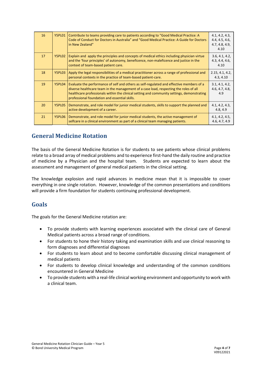| 16 | Y5PL01 | Contribute to teams providing care to patients according to "Good Medical Practice: A<br>Code of Conduct for Doctors in Australia" and "Good Medical Practice: A Guide for Doctors<br>in New Zealand"                                                                                                                            | 4.1, 4.2, 4.3,<br>4.4, 4.5, 4.6,<br>4.7, 4.8, 4.9,<br>4.10 |
|----|--------|----------------------------------------------------------------------------------------------------------------------------------------------------------------------------------------------------------------------------------------------------------------------------------------------------------------------------------|------------------------------------------------------------|
| 17 | Y5PL02 | Explain and apply the principles and concepts of medical ethics including physician virtue<br>and the 'four principles' of autonomy, beneficence, non-maleficence and justice in the<br>context of team-based patient care.                                                                                                      | 3.6, 4.1, 4.2,<br>4.3, 4.4, 4.6,<br>4.10                   |
| 18 | Y5PL03 | Apply the legal responsibilities of a medical practitioner across a range of professional and<br>personal contexts in the practice of team-based patient-care.                                                                                                                                                                   | 2.15, 4.1, 4.2,<br>4.3, 4.10                               |
| 19 | Y5PL04 | Evaluate the performance of self and others as self-regulated and effective members of a<br>diverse healthcare team in the management of a case load, respecting the roles of all<br>healthcare professionals within the clinical setting and community settings, demonstrating<br>professional foundation and essential skills. | 3.1, 4.1, 4.2,<br>4.6, 4.7, 4.8,<br>4.9                    |
| 20 | Y5PL05 | Demonstrate, and role model for junior medical students, skills to support the planned and<br>active development of a career.                                                                                                                                                                                                    | 4.1, 4.2, 4.3,<br>4.8, 4.9                                 |
| 21 | Y5PL06 | Demonstrate, and role model for junior medical students, the active management of<br>selfcare in a clinical environment as part of a clinical team managing patients.                                                                                                                                                            | 4.1, 4.2, 4.5,<br>4.6, 4.7, 4.9                            |

### **General Medicine Rotation**

The basis of the General Medicine Rotation is for students to see patients whose clinical problems relate to a broad array of medical problems and to experience first-hand the daily routine and practice of medicine by a Physician and the hospital team. Students are expected to learn about the assessment and management of general medical patients in the clinical setting.

The knowledge explosion and rapid advances in medicine mean that it is impossible to cover everything in one single rotation. However, knowledge of the common presentations and conditions will provide a firm foundation for students continuing professional development.

#### **Goals**

The goals for the General Medicine rotation are:

- To provide students with learning experiences associated with the clinical care of General Medical patients across a broad range of conditions.
- For students to hone their history taking and examination skills and use clinical reasoning to form diagnoses and differential diagnoses
- For students to learn about and to become comfortable discussing clinical management of medical patients
- For students to develop clinical knowledge and understanding of the common conditions encountered in General Medicine
- To provide students with a real-life clinical working environment and opportunity to work with a clinical team.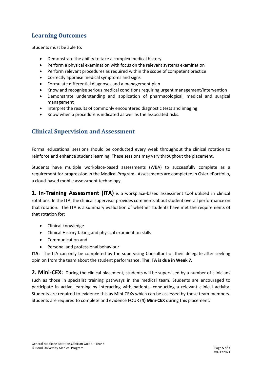# **Learning Outcomes**

Students must be able to:

- Demonstrate the ability to take a complex medical history
- Perform a physical examination with focus on the relevant systems examination
- Perform relevant procedures as required within the scope of competent practice
- Correctly appraise medical symptoms and signs
- Formulate differential diagnoses and a management plan
- Know and recognise serious medical conditions requiring urgent management/intervention
- Demonstrate understanding and application of pharmacological, medical and surgical management
- Interpret the results of commonly encountered diagnostic tests and imaging
- Know when a procedure is indicated as well as the associated risks.

#### **Clinical Supervision and Assessment**

Formal educational sessions should be conducted every week throughout the clinical rotation to reinforce and enhance student learning. These sessions may vary throughout the placement.

Students have multiple workplace-based assessments (WBA) to successfully complete as a requirement for progression in the Medical Program. Assessments are completed in Osler ePortfolio, a cloud-based mobile assessment technology.

**1. In-Training Assessment (ITA)** is a workplace-based assessment tool utilised in clinical rotations. In the ITA, the clinical supervisor provides comments about student overall performance on that rotation. The ITA is a summary evaluation of whether students have met the requirements of that rotation for:

- Clinical knowledge
- Clinical History taking and physical examination skills
- Communication and
- Personal and professional behaviour

**ITA:** The ITA can only be completed by the supervising Consultant or their delegate after seeking opinion from the team about the student performance. **The ITA is due in Week 7.**

**2. Mini-CEX:** During the clinical placement, students will be supervised by a number of clinicians such as those in specialist training pathways in the medical team. Students are encouraged to participate in active learning by interacting with patients, conducting a relevant clinical activity. Students are required to evidence this as Mini-CEXs which can be assessed by these team members. Students are required to complete and evidence FOUR (**4) Mini-CEX** during this placement: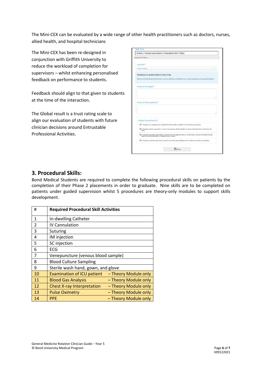The Mini-CEX can be evaluated by a wide range of other health practitioners such as doctors, nurses, allied health, and hospital technicians

The Mini-CEX has been re-designed in conjunction with Griffith University to reduce the workload of completion for supervisors – whilst enhancing personalised feedback on performance to students.

Feedback should align to that given to students at the time of the interaction.

The Global result is a trust rating scale to align our evaluation of students with future clinician decisions around Entrustable Professional Activities.

| <b>Assessment Criteria</b>             |                                                                                                                                                                         |
|----------------------------------------|-------------------------------------------------------------------------------------------------------------------------------------------------------------------------|
| Location*                              |                                                                                                                                                                         |
| Select Location                        |                                                                                                                                                                         |
| Feedback to assist student's learning: | Please describe the Student's Performance: what was effective and ineffective, your overall impression and any specific feedback.                                       |
| Areas of strength:*                    |                                                                                                                                                                         |
|                                        |                                                                                                                                                                         |
|                                        |                                                                                                                                                                         |
| Areas of development:*                 |                                                                                                                                                                         |
|                                        |                                                                                                                                                                         |
| Global Overall result:*                |                                                                                                                                                                         |
|                                        | O 1. Requires my assistance to complete this task safely in addition to close direct supervision                                                                        |
| task)                                  | O 2. Requires direct supervision (I need to be present with the student to observe the interaction and review the                                                       |
|                                        | O 3. Requires proximal supervision (I need to be in an adjacent room or on the same ward as the student and be<br>able to provide immediate or detailed review of task) |

#### **3. Procedural Skills:**

Bond Medical Students are required to complete the following procedural skills on patients by the completion of their Phase 2 placements in order to graduate. Nine skills are to be completed on patients under guided supervision whilst 5 procedures are theory-only modules to support skills development.

| #                        | <b>Required Procedural Skill Activities</b> |                      |  |
|--------------------------|---------------------------------------------|----------------------|--|
| $\mathbf{1}$             | In-dwelling Catheter                        |                      |  |
| $\overline{\mathcal{L}}$ | <b>IV Cannulation</b>                       |                      |  |
| 3                        | Suturing                                    |                      |  |
| 4                        | IM injection                                |                      |  |
| 5                        | SC injection                                |                      |  |
| 6                        | <b>ECG</b>                                  |                      |  |
| 7                        | Venepuncture (venous blood sample)          |                      |  |
| 8                        | <b>Blood Culture Sampling</b>               |                      |  |
| 9                        | Sterile wash hand, gown, and glove          |                      |  |
| 10                       | <b>Examination of ICU patient</b>           | - Theory Module only |  |
| 11                       | <b>Blood Gas Analysis</b>                   | - Theory Module only |  |
| 12                       | <b>Chest X-ray Interpretation</b>           | - Theory Module only |  |
| 13                       | <b>Pulse Oximetry</b>                       | - Theory Module only |  |
| 14                       | <b>PPE</b>                                  | - Theory Module only |  |